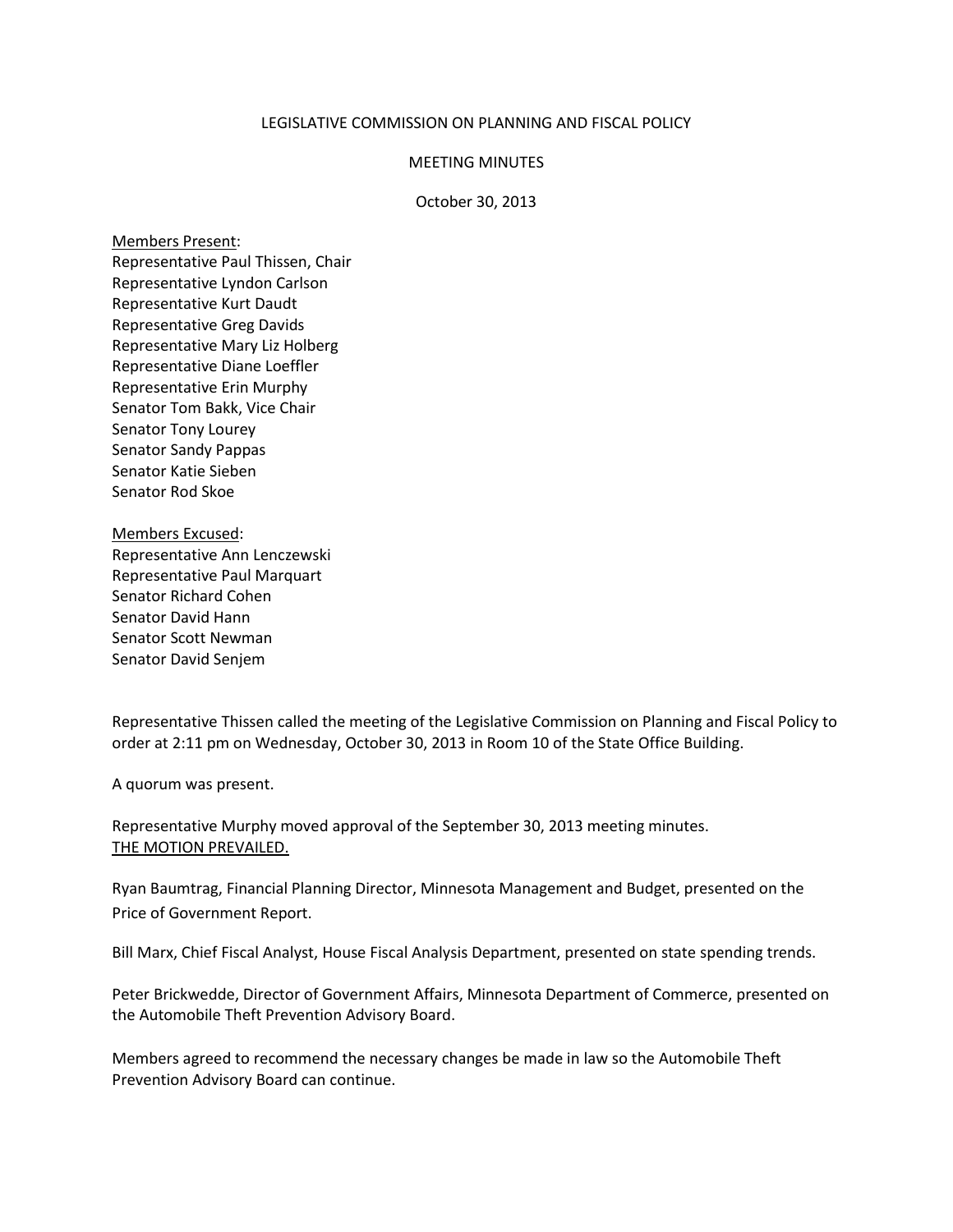## LEGISLATIVE COMMISSION ON PLANNING AND FISCAL POLICY

## MEETING MINUTES

## October 30, 2013

Members Present: Representative Paul Thissen, Chair Representative Lyndon Carlson Representative Kurt Daudt Representative Greg Davids Representative Mary Liz Holberg Representative Diane Loeffler Representative Erin Murphy Senator Tom Bakk, Vice Chair Senator Tony Lourey Senator Sandy Pappas Senator Katie Sieben Senator Rod Skoe

Members Excused: Representative Ann Lenczewski Representative Paul Marquart Senator Richard Cohen Senator David Hann Senator Scott Newman Senator David Senjem

Representative Thissen called the meeting of the Legislative Commission on Planning and Fiscal Policy to order at 2:11 pm on Wednesday, October 30, 2013 in Room 10 of the State Office Building.

A quorum was present.

Representative Murphy moved approval of the September 30, 2013 meeting minutes. THE MOTION PREVAILED.

Ryan Baumtrag, Financial Planning Director, Minnesota Management and Budget, presented on the Price of Government Report.

Bill Marx, Chief Fiscal Analyst, House Fiscal Analysis Department, presented on state spending trends.

Peter Brickwedde, Director of Government Affairs, Minnesota Department of Commerce, presented on the Automobile Theft Prevention Advisory Board.

Members agreed to recommend the necessary changes be made in law so the Automobile Theft Prevention Advisory Board can continue.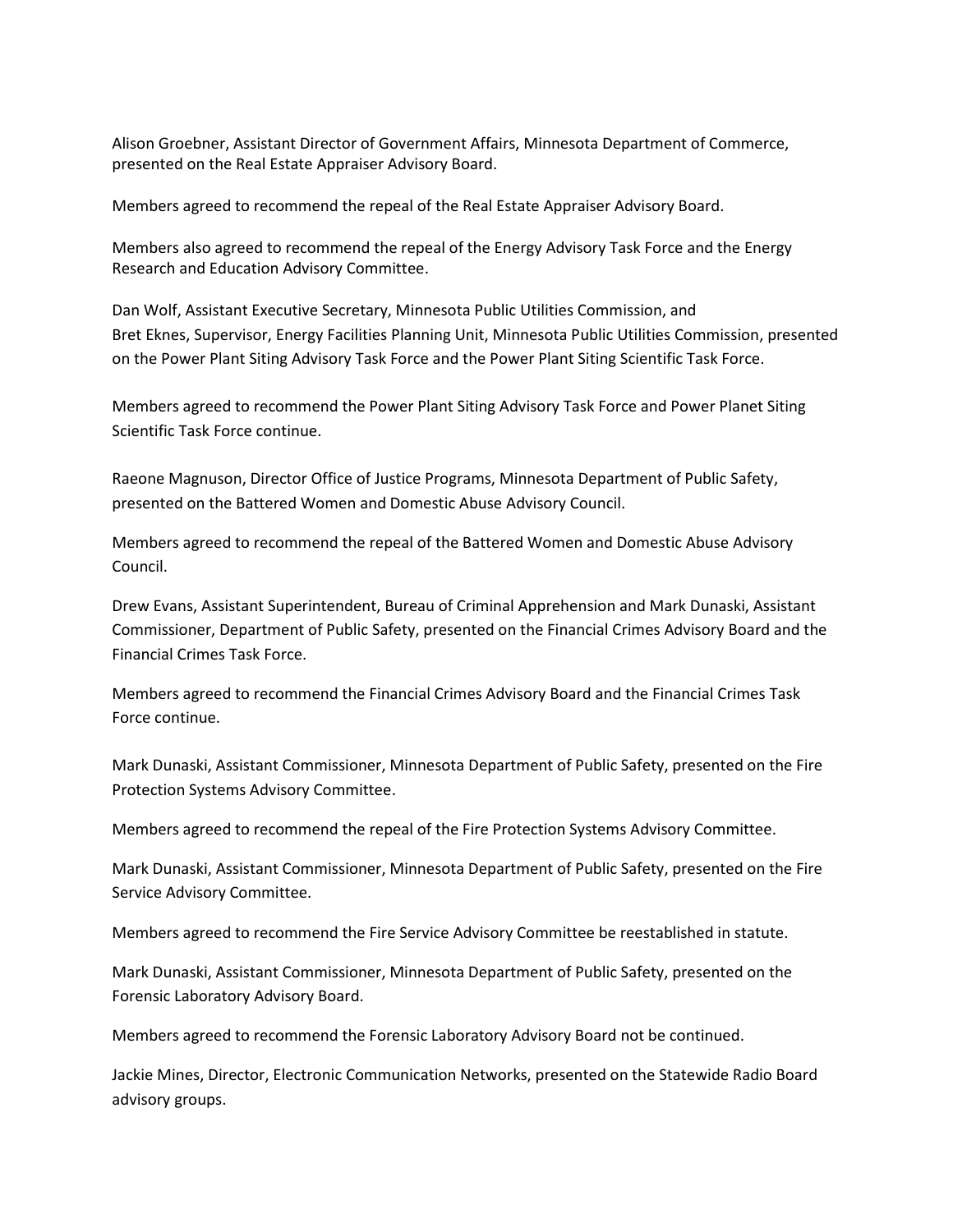Alison Groebner, Assistant Director of Government Affairs, Minnesota Department of Commerce, presented on the Real Estate Appraiser Advisory Board.

Members agreed to recommend the repeal of the Real Estate Appraiser Advisory Board.

Members also agreed to recommend the repeal of the Energy Advisory Task Force and the Energy Research and Education Advisory Committee.

Dan Wolf, Assistant Executive Secretary, Minnesota Public Utilities Commission, and Bret Eknes, Supervisor, Energy Facilities Planning Unit, Minnesota Public Utilities Commission, presented on the Power Plant Siting Advisory Task Force and the Power Plant Siting Scientific Task Force.

Members agreed to recommend the Power Plant Siting Advisory Task Force and Power Planet Siting Scientific Task Force continue.

Raeone Magnuson, Director Office of Justice Programs, Minnesota Department of Public Safety, presented on the Battered Women and Domestic Abuse Advisory Council.

Members agreed to recommend the repeal of the Battered Women and Domestic Abuse Advisory Council.

Drew Evans, Assistant Superintendent, Bureau of Criminal Apprehension and Mark Dunaski, Assistant Commissioner, Department of Public Safety, presented on the Financial Crimes Advisory Board and the Financial Crimes Task Force.

Members agreed to recommend the Financial Crimes Advisory Board and the Financial Crimes Task Force continue.

Mark Dunaski, Assistant Commissioner, Minnesota Department of Public Safety, presented on the Fire Protection Systems Advisory Committee.

Members agreed to recommend the repeal of the Fire Protection Systems Advisory Committee.

Mark Dunaski, Assistant Commissioner, Minnesota Department of Public Safety, presented on the Fire Service Advisory Committee.

Members agreed to recommend the Fire Service Advisory Committee be reestablished in statute.

Mark Dunaski, Assistant Commissioner, Minnesota Department of Public Safety, presented on the Forensic Laboratory Advisory Board.

Members agreed to recommend the Forensic Laboratory Advisory Board not be continued.

Jackie Mines, Director, Electronic Communication Networks, presented on the Statewide Radio Board advisory groups.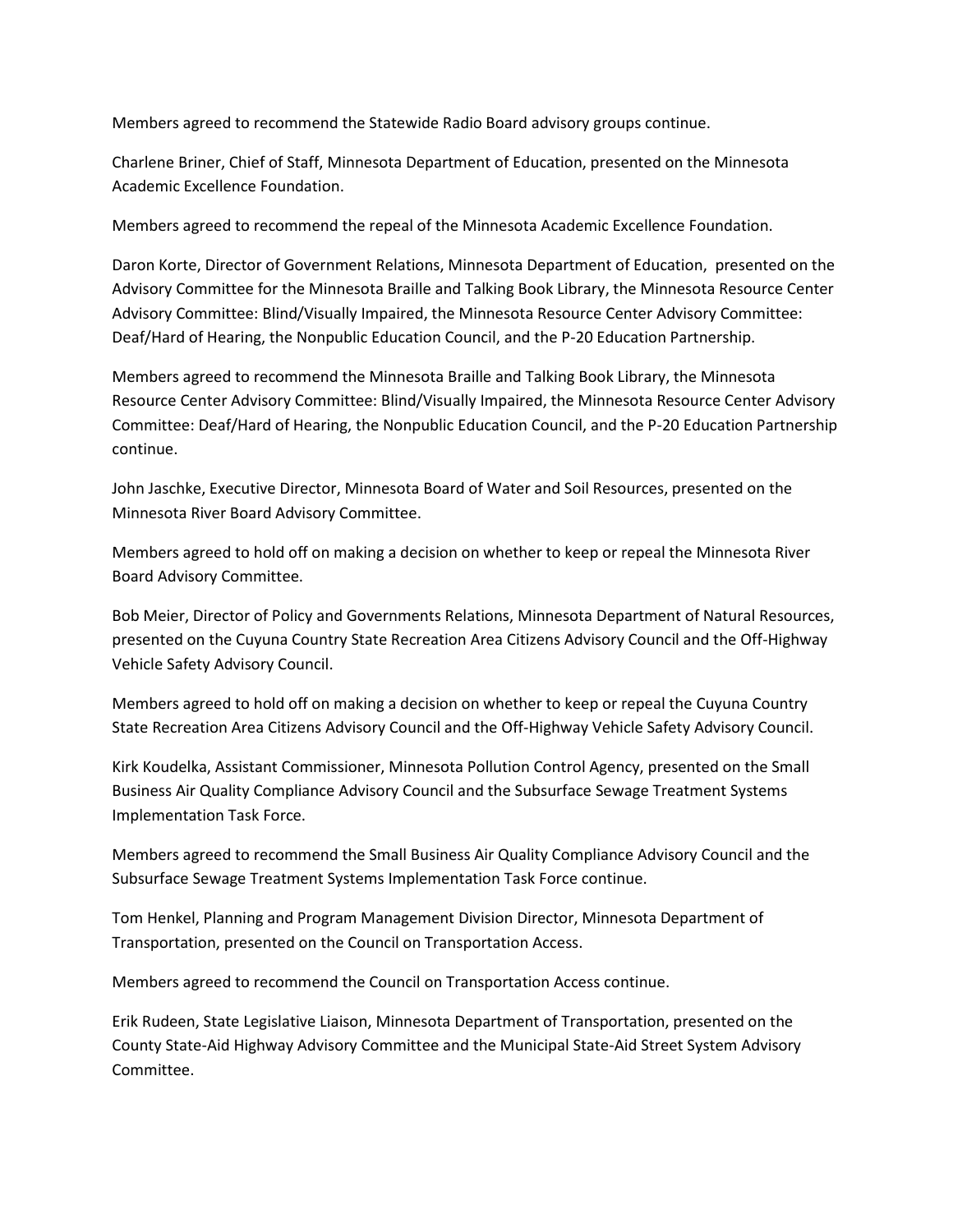Members agreed to recommend the Statewide Radio Board advisory groups continue.

Charlene Briner, Chief of Staff, Minnesota Department of Education, presented on the Minnesota Academic Excellence Foundation.

Members agreed to recommend the repeal of the Minnesota Academic Excellence Foundation.

Daron Korte, Director of Government Relations, Minnesota Department of Education, presented on the Advisory Committee for the Minnesota Braille and Talking Book Library, the Minnesota Resource Center Advisory Committee: Blind/Visually Impaired, the Minnesota Resource Center Advisory Committee: Deaf/Hard of Hearing, the Nonpublic Education Council, and the P-20 Education Partnership.

Members agreed to recommend the Minnesota Braille and Talking Book Library, the Minnesota Resource Center Advisory Committee: Blind/Visually Impaired, the Minnesota Resource Center Advisory Committee: Deaf/Hard of Hearing, the Nonpublic Education Council, and the P-20 Education Partnership continue.

John Jaschke, Executive Director, Minnesota Board of Water and Soil Resources, presented on the Minnesota River Board Advisory Committee.

Members agreed to hold off on making a decision on whether to keep or repeal the Minnesota River Board Advisory Committee.

Bob Meier, Director of Policy and Governments Relations, Minnesota Department of Natural Resources, presented on the Cuyuna Country State Recreation Area Citizens Advisory Council and the Off-Highway Vehicle Safety Advisory Council.

Members agreed to hold off on making a decision on whether to keep or repeal the Cuyuna Country State Recreation Area Citizens Advisory Council and the Off-Highway Vehicle Safety Advisory Council.

Kirk Koudelka, Assistant Commissioner, Minnesota Pollution Control Agency, presented on the Small Business Air Quality Compliance Advisory Council and the Subsurface Sewage Treatment Systems Implementation Task Force.

Members agreed to recommend the Small Business Air Quality Compliance Advisory Council and the Subsurface Sewage Treatment Systems Implementation Task Force continue.

Tom Henkel, Planning and Program Management Division Director, Minnesota Department of Transportation, presented on the Council on Transportation Access.

Members agreed to recommend the Council on Transportation Access continue.

Erik Rudeen, State Legislative Liaison, Minnesota Department of Transportation, presented on the County State-Aid Highway Advisory Committee and the Municipal State-Aid Street System Advisory Committee.